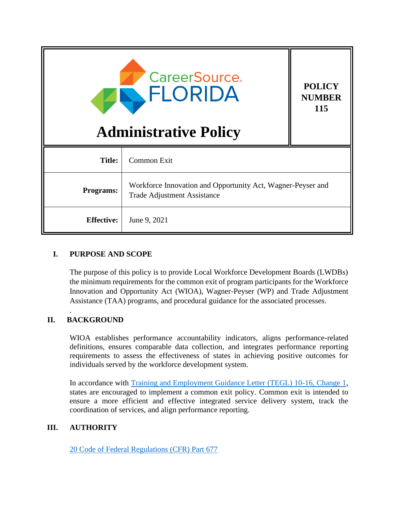| <b>CareerSource.</b><br>FLORIDA<br><b>115</b><br><b>Administrative Policy</b> |                                                                                                   | <b>POLICY</b><br><b>NUMBER</b> |
|-------------------------------------------------------------------------------|---------------------------------------------------------------------------------------------------|--------------------------------|
| <b>Title:</b>                                                                 | <b>Common Exit</b>                                                                                |                                |
| <b>Programs:</b>                                                              | Workforce Innovation and Opportunity Act, Wagner-Peyser and<br><b>Trade Adjustment Assistance</b> |                                |
| <b>Effective:</b>                                                             | June 9, 2021                                                                                      |                                |

## **I. PURPOSE AND SCOPE**

The purpose of this policy is to provide Local Workforce Development Boards (LWDBs) the minimum requirements for the common exit of program participants for the Workforce Innovation and Opportunity Act (WIOA), Wagner-Peyser (WP) and Trade Adjustment Assistance (TAA) programs, and procedural guidance for the associated processes.

# **II. BACKGROUND**

.

WIOA establishes performance accountability indicators, aligns performance-related definitions, ensures comparable data collection, and integrates performance reporting requirements to assess the effectiveness of states in achieving positive outcomes for individuals served by the workforce development system.

In accordance with [Training and Employment Guidance Letter \(TEGL\) 10-16, Change 1,](https://wdr.doleta.gov/directives/corr_doc.cfm?DOCN=3255) states are encouraged to implement a common exit policy. Common exit is intended to ensure a more efficient and effective integrated service delivery system, track the coordination of services, and align performance reporting.

## **III. AUTHORITY**

[20 Code of Federal Regulations \(CFR\) Part 677](https://www.ecfr.gov/cgi-bin/text-idx?node=pt20.4.677&rgn=div5)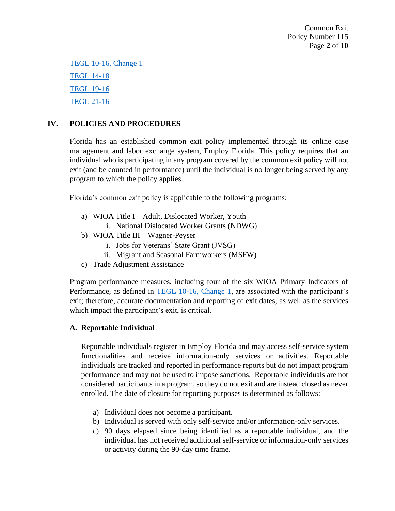Common Exit Policy Number 115 Page **2** of **10**

[TEGL 10-16, Change 1](https://wdr.doleta.gov/directives/corr_doc.cfm?DOCN=3255)  [TEGL 14-18](https://wdr.doleta.gov/directives/corr_doc.cfm?DOCN=7611) [TEGL 19-16](https://wdr.doleta.gov/directives/corr_doc.cfm?DOCN=3851)  [TEGL 21-16](https://wdr.doleta.gov/directives/corr_doc.cfm?DOCN=7159) 

# **IV. POLICIES AND PROCEDURES**

Florida has an established common exit policy implemented through its online case management and labor exchange system, Employ Florida. This policy requires that an individual who is participating in any program covered by the common exit policy will not exit (and be counted in performance) until the individual is no longer being served by any program to which the policy applies.

Florida's common exit policy is applicable to the following programs:

- a) WIOA Title I Adult, Dislocated Worker, Youth
	- i. National Dislocated Worker Grants (NDWG)
- b) WIOA Title III Wagner-Peyser
	- i. Jobs for Veterans' State Grant (JVSG)
	- ii. Migrant and Seasonal Farmworkers (MSFW)
- c) Trade Adjustment Assistance

Program performance measures, including four of the six WIOA Primary Indicators of Performance, as defined in [TEGL 10-16, Change 1,](https://wdr.doleta.gov/directives/attach/TEGL/TEGL_10-16-Change1_Acc.pdf) are associated with the participant's exit; therefore, accurate documentation and reporting of exit dates, as well as the services which impact the participant's exit, is critical.

## **A. Reportable Individual**

Reportable individuals register in Employ Florida and may access self-service system functionalities and receive information-only services or activities. Reportable individuals are tracked and reported in performance reports but do not impact program performance and may not be used to impose sanctions. Reportable individuals are not considered participants in a program, so they do not exit and are instead closed as never enrolled. The date of closure for reporting purposes is determined as follows:

- a) Individual does not become a participant.
- b) Individual is served with only self-service and/or information-only services.
- c) 90 days elapsed since being identified as a reportable individual, and the individual has not received additional self-service or information-only services or activity during the 90-day time frame.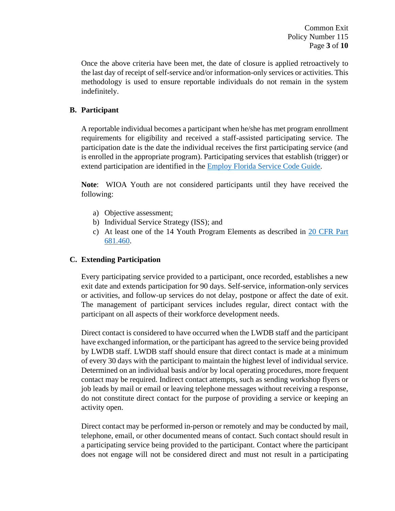Once the above criteria have been met, the date of closure is applied retroactively to the last day of receipt of self-service and/or information-only services or activities. This methodology is used to ensure reportable individuals do not remain in the system indefinitely.

## **B. Participant**

A reportable individual becomes a participant when he/she has met program enrollment requirements for eligibility and received a staff-assisted participating service. The participation date is the date the individual receives the first participating service (and is enrolled in the appropriate program). Participating services that establish (trigger) or extend participation are identified in the [Employ Florida Service Code Guide.](https://floridajobs.org/docs/default-source/lwdb-resources/programs-and-resources/wioa/2021-wioa/service-code-guide-update-24may2021.pdf?sfvrsn=ad654fb0_2)

**Note**: WIOA Youth are not considered participants until they have received the following:

- a) Objective assessment;
- b) Individual Service Strategy (ISS); and
- c) At least one of the 14 Youth Program Elements as described in [20 CFR Part](https://www.ecfr.gov/cgi-bin/text-idx?node=se20.4.681_1460&rgn=div8)  [681.460.](https://www.ecfr.gov/cgi-bin/text-idx?node=se20.4.681_1460&rgn=div8)

## **C. Extending Participation**

Every participating service provided to a participant, once recorded, establishes a new exit date and extends participation for 90 days. Self-service, information-only services or activities, and follow-up services do not delay, postpone or affect the date of exit. The management of participant services includes regular, direct contact with the participant on all aspects of their workforce development needs.

Direct contact is considered to have occurred when the LWDB staff and the participant have exchanged information, or the participant has agreed to the service being provided by LWDB staff. LWDB staff should ensure that direct contact is made at a minimum of every 30 days with the participant to maintain the highest level of individual service. Determined on an individual basis and/or by local operating procedures, more frequent contact may be required. Indirect contact attempts, such as sending workshop flyers or job leads by mail or email or leaving telephone messages without receiving a response, do not constitute direct contact for the purpose of providing a service or keeping an activity open.

Direct contact may be performed in-person or remotely and may be conducted by mail, telephone, email, or other documented means of contact. Such contact should result in a participating service being provided to the participant. Contact where the participant does not engage will not be considered direct and must not result in a participating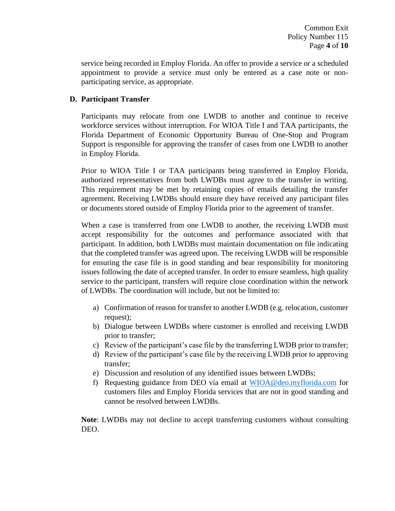service being recorded in Employ Florida. An offer to provide a service or a scheduled appointment to provide a service must only be entered as a case note or nonparticipating service, as appropriate.

## **D. Participant Transfer**

Participants may relocate from one LWDB to another and continue to receive workforce services without interruption. For WIOA Title I and TAA participants, the Florida Department of Economic Opportunity Bureau of One-Stop and Program Support is responsible for approving the transfer of cases from one LWDB to another in Employ Florida.

Prior to WIOA Title I or TAA participants being transferred in Employ Florida, authorized representatives from both LWDBs must agree to the transfer in writing. This requirement may be met by retaining copies of emails detailing the transfer agreement. Receiving LWDBs should ensure they have received any participant files or documents stored outside of Employ Florida prior to the agreement of transfer.

When a case is transferred from one LWDB to another, the receiving LWDB must accept responsibility for the outcomes and performance associated with that participant. In addition, both LWDBs must maintain documentation on file indicating that the completed transfer was agreed upon. The receiving LWDB will be responsible for ensuring the case file is in good standing and bear responsibility for monitoring issues following the date of accepted transfer. In order to ensure seamless, high quality service to the participant, transfers will require close coordination within the network of LWDBs. The coordination will include, but not be limited to:

- a) Confirmation of reason for transfer to another LWDB (e.g. relocation, customer request);
- b) Dialogue between LWDBs where customer is enrolled and receiving LWDB prior to transfer;
- c) Review of the participant's case file by the transferring LWDB prior to transfer;
- d) Review of the participant's case file by the receiving LWDB prior to approving transfer;
- e) Discussion and resolution of any identified issues between LWDBs;
- f) Requesting guidance from DEO via email at [WIOA@deo.myflorida.com](mailto:WIOA@deo.myflorida.com) for customers files and Employ Florida services that are not in good standing and cannot be resolved between LWDBs.

**Note**: LWDBs may not decline to accept transferring customers without consulting DEO.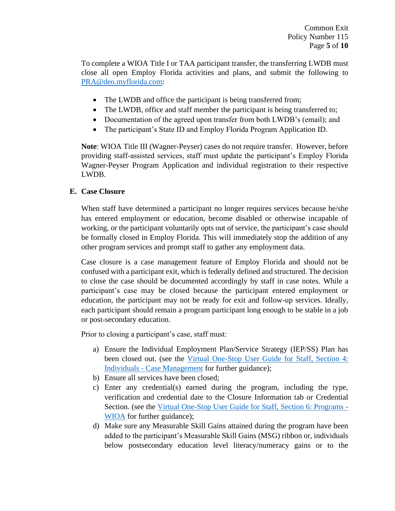To complete a WIOA Title I or TAA participant transfer, the transferring LWDB must close all open Employ Florida activities and plans, and submit the following to [PRA@deo.myflorida.com:](mailto:PRA@deo.myflorida.com)

- The LWDB and office the participant is being transferred from;
- The LWDB, office and staff member the participant is being transferred to;
- Documentation of the agreed upon transfer from both LWDB's (email); and
- The participant's State ID and Employ Florida Program Application ID.

**Note**: WIOA Title III (Wagner-Peyser) cases do not require transfer. However, before providing staff-assisted services, staff must update the participant's Employ Florida Wagner-Peyser Program Application and individual registration to their respective LWDB.

## <span id="page-4-0"></span>**E. Case Closure**

When staff have determined a participant no longer requires services because he/she has entered employment or education, become disabled or otherwise incapable of working, or the participant voluntarily opts out of service, the participant's case should be formally closed in Employ Florida. This will immediately stop the addition of any other program services and prompt staff to gather any employment data.

Case closure is a case management feature of Employ Florida and should not be confused with a participant exit, which is federally defined and structured. The decision to close the case should be documented accordingly by staff in case notes. While a participant's case may be closed because the participant entered employment or education, the participant may not be ready for exit and follow-up services. Ideally, each participant should remain a program participant long enough to be stable in a job or post-secondary education.

Prior to closing a participant's case, staff must:

- a) Ensure the Individual Employment Plan/Service Strategy (IEP/SS) Plan has been closed out. (see the [Virtual One-Stop User Guide for Staff, Section 4:](https://www.employflorida.com/admin/gsipub/htmlarea/uploads/Staff%20Guide_04_Case_Management.pdf)  Individuals - [Case Management](https://www.employflorida.com/admin/gsipub/htmlarea/uploads/Staff%20Guide_04_Case_Management.pdf) for further guidance);
- b) Ensure all services have been closed;
- c) Enter any credential(s) earned during the program, including the type, verification and credential date to the Closure Information tab or Credential Section. (see the [Virtual One-Stop User Guide for Staff, Section 6: Programs -](https://www.employflorida.com/gsipub/index.asp?docid=825) [WIOA](https://www.employflorida.com/gsipub/index.asp?docid=825) for further guidance);
- d) Make sure any Measurable Skill Gains attained during the program have been added to the participant's Measurable Skill Gains (MSG) ribbon or, individuals below postsecondary education level literacy/numeracy gains or to the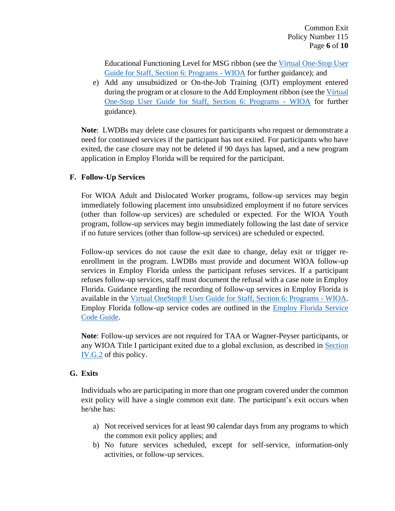Educational Functioning Level for MSG ribbon (see the [Virtual One-Stop User](https://www.employflorida.com/gsipub/index.asp?docid=825)  [Guide for Staff, Section 6: Programs -](https://www.employflorida.com/gsipub/index.asp?docid=825) WIOA for further guidance); and

e) Add any unsubsidized or On-the-Job Training (OJT) employment entered during the program or at closure to the Add Employment ribbon (see the [Virtual](https://www.employflorida.com/gsipub/index.asp?docid=825)  [One-Stop User Guide for Staff, Section 6: Programs -](https://www.employflorida.com/gsipub/index.asp?docid=825) WIOA for further guidance).

**Note**: LWDBs may delete case closures for participants who request or demonstrate a need for continued services if the participant has not exited. For participants who have exited, the case closure may not be deleted if 90 days has lapsed, and a new program application in Employ Florida will be required for the participant.

## **F. Follow-Up Services**

For WIOA Adult and Dislocated Worker programs, follow-up services may begin immediately following placement into unsubsidized employment if no future services (other than follow-up services) are scheduled or expected. For the WIOA Youth program, follow-up services may begin immediately following the last date of service if no future services (other than follow-up services) are scheduled or expected.

Follow-up services do not cause the exit date to change, delay exit or trigger reenrollment in the program. LWDBs must provide and document WIOA follow-up services in Employ Florida unless the participant refuses services. If a participant refuses follow-up services, staff must document the refusal with a case note in Employ Florida. Guidance regarding the recording of follow-up services in Employ Florida is available in the [Virtual OneStop® User Guide for Staff, Section 6: Programs -](https://www.employflorida.com/admin/gsipub/htmlarea/uploads/Staff%20Guide_06_Programs_WIOA.pdf) WIOA. Employ Florida follow-up service codes are outlined in the [Employ Florida Service](https://floridajobs.org/docs/default-source/lwdb-resources/programs-and-resources/wioa/2021-wioa/service-code-guide-update-24may2021.pdf?sfvrsn=ad654fb0_2)  [Code Guide.](https://floridajobs.org/docs/default-source/lwdb-resources/programs-and-resources/wioa/2021-wioa/service-code-guide-update-24may2021.pdf?sfvrsn=ad654fb0_2)

**Note**: Follow-up services are not required for TAA or Wagner-Peyser participants, or any WIOA Title I participant exited due to a global exclusion, as described in [Section](#page-6-0)  [IV.G.2](#page-6-0) of this policy.

#### **G. Exits**

Individuals who are participating in more than one program covered under the common exit policy will have a single common exit date. The participant's exit occurs when he/she has:

- a) Not received services for at least 90 calendar days from any programs to which the common exit policy applies; and
- b) No future services scheduled, except for self-service, information-only activities, or follow-up services.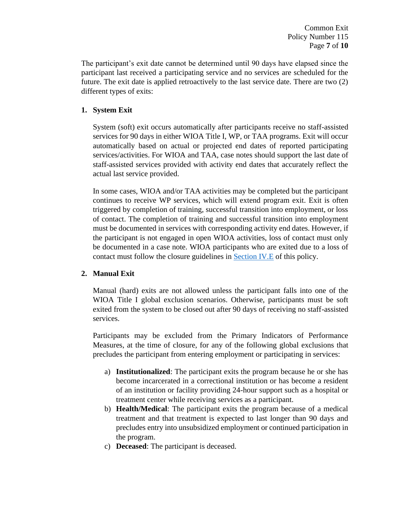Common Exit Policy Number 115 Page **7** of **10**

The participant's exit date cannot be determined until 90 days have elapsed since the participant last received a participating service and no services are scheduled for the future. The exit date is applied retroactively to the last service date. There are two (2) different types of exits:

#### **1. System Exit**

System (soft) exit occurs automatically after participants receive no staff-assisted services for 90 days in either WIOA Title I, WP, or TAA programs. Exit will occur automatically based on actual or projected end dates of reported participating services/activities. For WIOA and TAA, case notes should support the last date of staff-assisted services provided with activity end dates that accurately reflect the actual last service provided.

In some cases, WIOA and/or TAA activities may be completed but the participant continues to receive WP services, which will extend program exit. Exit is often triggered by completion of training, successful transition into employment, or loss of contact. The completion of training and successful transition into employment must be documented in services with corresponding activity end dates. However, if the participant is not engaged in open WIOA activities, loss of contact must only be documented in a case note. WIOA participants who are exited due to a loss of contact must follow the closure guidelines in [Section IV.E](#page-4-0) of this policy.

#### <span id="page-6-0"></span>**2. Manual Exit**

Manual (hard) exits are not allowed unless the participant falls into one of the WIOA Title I global exclusion scenarios. Otherwise, participants must be soft exited from the system to be closed out after 90 days of receiving no staff-assisted services.

Participants may be excluded from the Primary Indicators of Performance Measures, at the time of closure, for any of the following global exclusions that precludes the participant from entering employment or participating in services:

- a) **Institutionalized**: The participant exits the program because he or she has become incarcerated in a correctional institution or has become a resident of an institution or facility providing 24-hour support such as a hospital or treatment center while receiving services as a participant.
- b) **Health/Medical**: The participant exits the program because of a medical treatment and that treatment is expected to last longer than 90 days and precludes entry into unsubsidized employment or continued participation in the program.
- c) **Deceased**: The participant is deceased.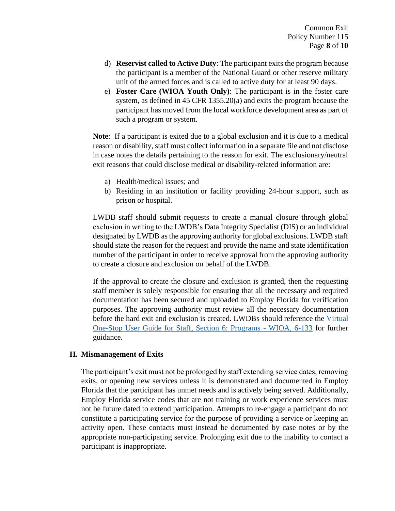- d) **Reservist called to Active Duty**: The participant exits the program because the participant is a member of the National Guard or other reserve military unit of the armed forces and is called to active duty for at least 90 days.
- e) **Foster Care (WIOA Youth Only)**: The participant is in the foster care system, as defined in 45 CFR 1355.20(a) and exits the program because the participant has moved from the local workforce development area as part of such a program or system.

**Note**: If a participant is exited due to a global exclusion and it is due to a medical reason or disability, staff must collect information in a separate file and not disclose in case notes the details pertaining to the reason for exit. The exclusionary/neutral exit reasons that could disclose medical or disability-related information are:

- a) Health/medical issues; and
- b) Residing in an institution or facility providing 24-hour support, such as prison or hospital.

LWDB staff should submit requests to create a manual closure through global exclusion in writing to the LWDB's Data Integrity Specialist (DIS) or an individual designated by LWDB as the approving authority for global exclusions. LWDB staff should state the reason for the request and provide the name and state identification number of the participant in order to receive approval from the approving authority to create a closure and exclusion on behalf of the LWDB.

If the approval to create the closure and exclusion is granted, then the requesting staff member is solely responsible for ensuring that all the necessary and required documentation has been secured and uploaded to Employ Florida for verification purposes. The approving authority must review all the necessary documentation before the hard exit and exclusion is created. LWDBs should reference the Virtual [One-Stop User Guide for Staff, Section 6: Programs -](https://www.employflorida.com/gsipub/index.asp?docid=825) WIOA, 6-133 for further guidance.

## **H. Mismanagement of Exits**

The participant's exit must not be prolonged by staff extending service dates, removing exits, or opening new services unless it is demonstrated and documented in Employ Florida that the participant has unmet needs and is actively being served. Additionally, Employ Florida service codes that are not training or work experience services must not be future dated to extend participation. Attempts to re-engage a participant do not constitute a participating service for the purpose of providing a service or keeping an activity open. These contacts must instead be documented by case notes or by the appropriate non-participating service. Prolonging exit due to the inability to contact a participant is inappropriate.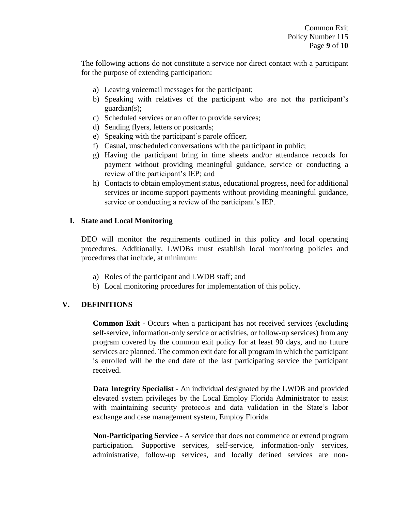The following actions do not constitute a service nor direct contact with a participant for the purpose of extending participation:

- a) Leaving voicemail messages for the participant;
- b) Speaking with relatives of the participant who are not the participant's guardian(s);
- c) Scheduled services or an offer to provide services;
- d) Sending flyers, letters or postcards;
- e) Speaking with the participant's parole officer;
- f) Casual, unscheduled conversations with the participant in public;
- g) Having the participant bring in time sheets and/or attendance records for payment without providing meaningful guidance, service or conducting a review of the participant's IEP; and
- h) Contacts to obtain employment status, educational progress, need for additional services or income support payments without providing meaningful guidance, service or conducting a review of the participant's IEP.

#### **I. State and Local Monitoring**

DEO will monitor the requirements outlined in this policy and local operating procedures. Additionally, LWDBs must establish local monitoring policies and procedures that include, at minimum:

- a) Roles of the participant and LWDB staff; and
- b) Local monitoring procedures for implementation of this policy.

## **V. DEFINITIONS**

**Common Exit** - Occurs when a participant has not received services (excluding self-service, information-only service or activities, or follow-up services) from any program covered by the common exit policy for at least 90 days, and no future services are planned. The common exit date for all program in which the participant is enrolled will be the end date of the last participating service the participant received.

**Data Integrity Specialist -** An individual designated by the LWDB and provided elevated system privileges by the Local Employ Florida Administrator to assist with maintaining security protocols and data validation in the State's labor exchange and case management system, Employ Florida.

**Non-Participating Service** - A service that does not commence or extend program participation. Supportive services, self-service, information-only services, administrative, follow-up services, and locally defined services are non-